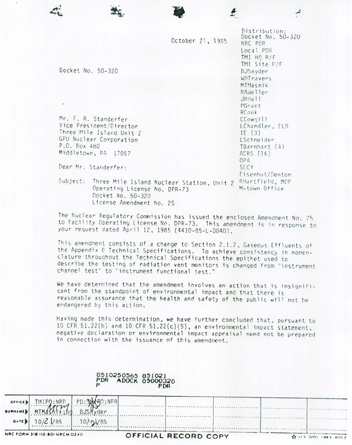|                         |                              | October 21, 1985                          |               | Distribution:<br>Docket No. 50-320<br>NRC PDR<br>Local PDR<br>TMI HQ R/F |
|-------------------------|------------------------------|-------------------------------------------|---------------|--------------------------------------------------------------------------|
|                         |                              |                                           |               | TMI Site R/F                                                             |
|                         | Docket No. 50-320            |                                           |               | BJSnyder                                                                 |
|                         |                              |                                           |               | WDTravers                                                                |
|                         |                              |                                           |               | MTMasnik<br>RAWeller                                                     |
|                         |                              |                                           |               | JRHall                                                                   |
|                         |                              |                                           |               | PGrant                                                                   |
|                         |                              |                                           |               | RCook                                                                    |
| Mr. F. R. Standerfer    |                              |                                           |               | CCowgill                                                                 |
| Vice President/Director |                              |                                           |               | LChandler, ELD                                                           |
|                         | Three Mile Island Unit 2     |                                           |               | IE $(3)$                                                                 |
|                         | GPU Nuclear Corporation      |                                           |               | LSchneider                                                               |
| P.O. Box 480            |                              |                                           |               | $TBarnhart$ $(4)$                                                        |
|                         | Middletown, PA 17057         |                                           | ACRS (16)     |                                                                          |
|                         |                              |                                           |               | OPA                                                                      |
| Dear Mr. Standerfer:    |                              |                                           |               | SECY                                                                     |
|                         |                              |                                           |               | Eisenhut/Denton                                                          |
| Subject:                |                              | Three Mile Island Nuclear Station, Unit 2 |               | RHartfield, MDP                                                          |
|                         | Operating License No. DPR-73 |                                           | M-town Office |                                                                          |
|                         | Docket No. 50-320            |                                           |               |                                                                          |
|                         | License Amendment No. 25     |                                           |               |                                                                          |

The Nuclear Regulatory Commission has issued the enclosed Amendment No. 25 to Facility Operating License No. DPR-73. This amendment is in response to your request dated April 12,1985 (4410-85-L-0040).

This amendment consists of <sup>d</sup> change to Section 2.1.2, Gaseous Effluents of the Appendix B. Technical Specifications. To achieve consistency in nomenclature throughout the Technical Specifications the epithet used to describe the testing of radiation vent monitors is changed from "instrument channel test" to "instrument functional test."

We have determined that the amendment involves an action that is insignificant from the standpoint of environmental impact and that there is reasonable assurance that the health and safety of the public will not be endangered by this action.

Having made this determination, we have further concluded that, pursuant to 10 CFR 51.22(b) and 10 CFR 51.22(c)(9), an environmental impact statement, negative declaration or environmental impact appraisal need not be prepared in connection with the issuance of this amendment.

|                          |                                | PDR                          | ADOCK 05000320<br>PDR |                      |  |            |
|--------------------------|--------------------------------|------------------------------|-----------------------|----------------------|--|------------|
| OFFICE<br><b>SURNAME</b> |                                | PD: THACRO : NRR<br>BJSMyder |                       |                      |  |            |
| DATE D                   | $10/2$ /85                     | 10/24/85                     |                       |                      |  |            |
|                          | NRC FORM 318 (10/80) NRCM 0240 |                              |                       | OFFICIAL RECORD COPY |  | 1981 400 2 |

8510250565 851021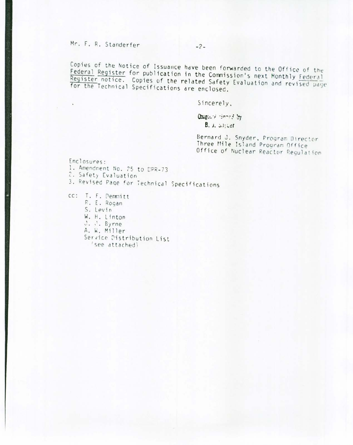Mr. F. R. Standerfer

Copies of the Notice of Issuance have been forwarded to the Office of the Federal Register for publication in the Commission's next Monthly Federal Register notice. Copies of the related Safety Evaluation and revised page for the Technical Specifications are enclosed.

Sincerely,

Origin's tinned by  $B.$  J.  $J.$   $J.$ 

Bernard J. Snyder, Program Director Three Mile Island Program Office Office of Nuclear Reactor Regulation

Enclosures: 1. Amendment No. 25 to DPR-73 2. Safety Evaluation 3. Revised Page for Technical Specifications

cc: T. F. Demmitt R. E. Rogan S. Levin W. H. Linton  $J.$   $\sqrt{ }$ . Byrne A. W. Miller Service Distribution List 'see attached)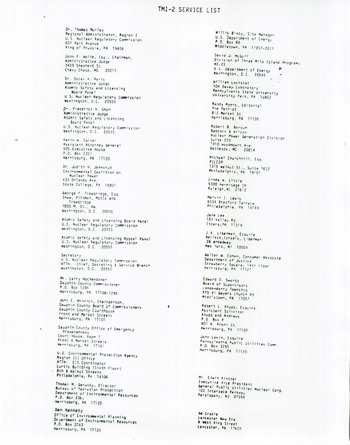### TMI-2 SERVICE LIST

Dr. Thomas Murley Regional Administrator, Region I U.S. Nuclear Regulatory Commission 631 Park Avenue King of Prussia, PA 19406

John F. Wolfe, Esq., Chairman, Administrative Judge 3409 Shepherd St. Chevy Chase, MD. 20015

Dr. Oscar H. Paris Administrative Judge Atomic Safety and Licensing Board Panel U.S. Nuclear Regulatory Commission Washington, D.C. 20555

Dr. Frederick H. Shon Administrative Judge Atomic Safety and Licensing Board Panel U.S. Nuclear Regulatory Commission Washington, D.C. 20555

Karin W. Carter Assistant Attorney General 505 Executive House P.O. Box 2357 Harrisburg, PA 17120

Dr. Judith H. Johnsrud<br>Environmental Coalition on Nuclear Power 433 Orlando Ave. State College, PA 16801

George F. Trowbridge, Esq. Shaw, Pittman, Potts and Trowbridge 1800 M. St., NW.<br>Washington, D.C. 20036

Atomic Safety and Licensing Board Panel U.S. Nuclear Regulatory Commission<br>Washington, D.C. 20555

Atomic Safety and Licensing Appeal Panel<br>U.S. Nuclear Regulatory Commission<br>Washington, D.C. 20555

Secretary U.S. Nuclear Regulatory Commission<br>ATTN: Chief, Docketing & Service Branch<br>Washington, D.C. 20555

Mr. Larry Hochendoner Dauphin County Commissioner P.O. Box 1295 Harrisburg, PA 17108-1295

John E. Minnich, Chairperson,<br>Dauphin County Board of Commissioners Dauphin County Courthouse Front and Market Streets Marrisburg, PA 17101

Dauphin County Office of Emergency Preparedness Court House, Room 7 Front & Market Streets<br>Marrisburg, PA 17101

¥

U.S. Environmental Protection Agency Region III Office ATTN: EIS Coordinator Curtis Building (Sixth Floor) . 6th & Walnut Streets Philadelphia, PA 19106

Thomas M. Gerusky, Director<br>Bureau of Nadiation Protection Department of Environmental Resources P.O. Box 206, Marrisburg, PA 17120

Den Kennedy Office of Invironmental Planning Department of Environmental Resources P.O. Box 2063 Harrisburg, PA 17120

Willis Bixby, Site Manager U.S. Department of Energy P.O. Box 88 Middletown, PA 17057-0311

David J. McGoff<br>Division of Three Mile Island Programs U.S. Department of Energy ٠ Washington, D.C. 20545

William Lochstet 104 Davey Laboratory Pennsylvania State University University Park, PA 16802

Randy Myers, Editorial The Patriot 812 Market St. Harrisburg, PA 17105

Robert B. Borsum Babcock & Wilcox Nuclear Power Generation Division Suite  $220$ 7910 woodmount Ave. Bethesda, MD. 20814

Michael Churchhill, Esq. PILCOP 1315 Walnut St., Suite 1632<br>Philadelphia, PA 19107

Linda W. Little 5000 Hermitage DR<br>Raleigh, NC 27612

Marvin 1. Lewis 6504 Bradford Terrace Philadelphia, PA 19149

Jane Lee 183 Valley Rd.<br>Etters, PA 17319

J.B. Liberman, Esquire Berlack, Israels, Liberman 26 droadway<br>New York, NY 10004

Walter W. Cohen, Consumer Advocate Department of Justice Strawberry Square, 14th Floor<br>Harrisburg, PA 17127

Edward O. Swartz Board of Supervisors Londonderry Township RFD #1 Geyers Church Rd Midd'etown, PA 17057

Robert L. Knupp, Esquire Assistant Solicitor Knupp and Andrews P.O. Box P 407 N. Front St. Harrisburg, PA 17108

John Levin, Esquire Pennsylvania Public Utilities Comm.<br>P.O. Box 3265 Harrisburg, PA 17120

Mr. Edwin Kintner Executive Vice President General Public Utilities Nuclear Corp. 100 Interpace Parkway Parsippany, NJ 07054

Ad Crable Lancaster New Era 8 West Ring Street<br>Lancaster, PA 17602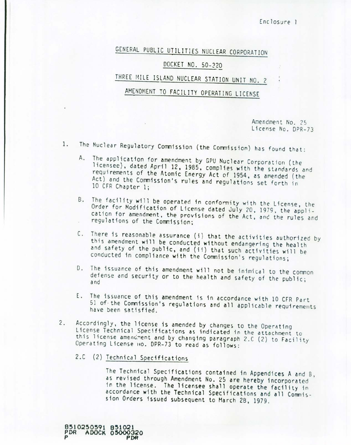Enclosure 1

# GENERAL PUBLIC UTILITIES NUCLEAR CORPORATION

#### DOCKET NO. 50-320

## THREE MILE ISLAND NUCLEAR STATION UNIT NO. 2

## AMENDMENT TO FACILITY OPERATING LICENSE

Amendment No. 25 License *No.* DPR-73

- 1. The Nuclear Regulatory Commission (the Commission) has found that:
	- A. The application for amendment by GPU Nuclear Corporation (the licensee), dated April 12, 1985, complies with the standards and requirements of the Atomic Energy Act of 1954, as amended (the Act) and the Commission's rules and regulations set forth in 10 CFR Chapter 1;
	- B. The facility will be operated in conformity with the License, the Order for Modification of License dated July 20, 1979, the application for amendment, the provisions of the Act, anc the rules and regulations of the Commission;
	- C. There is reasonable assurance (i) that the activities authorized by this amendment will be conducted without endangering the health and safety of the public, and (ii) that such activities will be conducted in compliance with the Commission's regulations;
	- D. The issuance of this amendment will not be inimical to the common defense and security or to the health and safety of the public; and
	- E. The issuance of this amendment is in accordance with 10 CFR Part 51 of. the Commission's regulations and all applicable requirements have been satisfied.
- 2. Accordingly, the license is amended by changes to the Operating License Technical Specifications as indicated in the attachment to this license amendment and by changing paragraph 2.C (2) to Facility Operating License IIO. DPR-73 to read as follows:
	- 2.C (2) Technical Specifications

8~10~~0591 *8~lOQl* **PDR** ADOCK 05000320 **P PDR**

The Technical Specifications contained in Appendices A and B, as revised through Amendment No. 25 are hereby incorporated in the license. The licensee shall operate the facility in accordance with the Technical Specifications and all Commission Orders issued subsequent to Harch 28, 1979.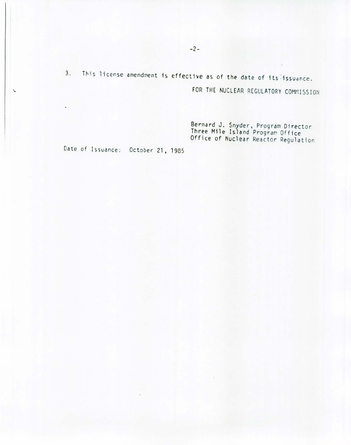3. This license amendment is effective as of the date of its issuance.

FOR THE NUCLEAR REGULATORY COMMISSION

Bernard J. Snyder, Program Director<br>Three Mile Island Program Office Office of Nuclear Reactor Regulation

Date of Issuance: October 21, 1985

÷.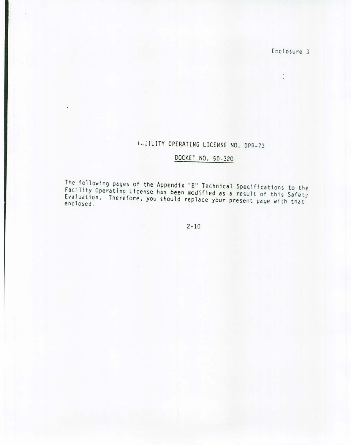Enclosure 3

-8  $\left\langle \bullet\right\rangle$ 

# ~,.~ILITY OPERATING LICENSE NO. DPR-73

### DOCKET NO. 50-320

The following pages of the Appendix "B" Technical Specifications to the Facility Operating License has been modified as a result of this Safetr Evaluation. Therefore. you should replace your present page with that enclosed.

2-10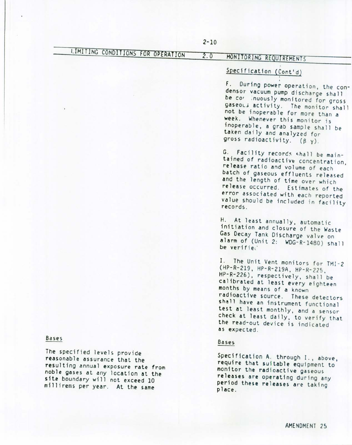# UMIT *<sup>I</sup>* NG CaNOl liONS *FOR OP£RA TION*

### 2.0 MONITORING REQUIREMENTS

#### Specification (Cont'd)

. F. During power operation, the condensor vacuum pump discharge shall be *co'* ;nuously monitored for gross gaseoL; activity. The monitor shall not be inoperable for more than a week. Whenever this monitor is inoperable, a grab sample shall be taken daily and analyzed for gross radioactivity.  $(\beta \gamma)$ .

G. Facility records shall be maintained of radioactive concentration, release ratio and volume of each batch of gaseous effluents released and the length of time over which release occurred. Estimates of the error associated with each reported value should *be* included in facility records.

H. At least annually, automatic initiation and closure of the Waste Gas Decay Tank Discharge valve on alarm of (Unit 2: WOG-R-14BO) shall be verifiel'

I. The Unit Vent monitors for TMI-2 (HP-R-219, HP-R-219A, HP-R-225, HP-R-226), respectively, shall be calibrated at least every eighteen months by means of a known radioactive source. These detectors shall have an instrument functional test at least monthly, and a sensor check at least daily. to verify that the read-out device is indicated as expected.

#### Bases

Specification A. through 1., above, require that suitable equipment to monitor the radioactive gaseous releases are operating during any period these releases are taking place.

#### Bases

The specified levels provide reasonable assurance that the resulting annual exposure rate from noble gases at any location at the site boundary will not exceed 10 millirems per year. At the same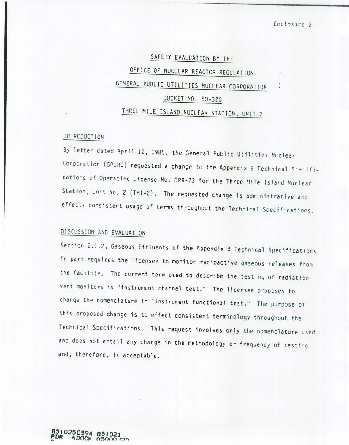# SAFETY EVALUATION BY THE OFFICE OF NUCLEAR REACTOR REGULATION GENERAL PUBLIC UTILITIES NUCLEAR CORPORATION DOCKET NO. 50-320 THREE MILE ISLAND NUCLEAR STATION, UNIT 2

#### 1rnRODUCT ION

By letter dated April 12, 1985, the General Public Utilities Nuclear Corporation (GPUNC) requested a change to the Appendix B Technical S;erifications of Operating License No. DPR-73 for the Three Mile Island Nuclear Station, Unit No. 2 (TMI-2). The requested change is administrative and effects consistent usage of terms throughout the Technical Specifications.

### DISCUSSION AND EVALUATION

Section 2.1.2, Gaseous Effluents of the Appendix B Technical Specifications in part requires the licensee to monitor radioactive gaseous releases from the facility. The current term used to describe the testing of radiation vent monitors is "instrument channel test." The licensee proposes to change the nomenclature to "instrument functional test." The purpose of this proposed change is to effect consistent terminology throughout the Technical Specifications. This request involves only the nomenclature used and does not entail any change in the methodology or frequency of testing and, therefore, is acceptable.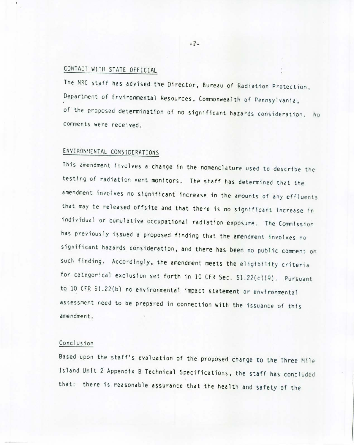#### CONTACT WITH STATE OFFICIAL

The NRC staff has advised the Director, Bureau of Radiation Protection, Department of Environmental Resources, Commonwealth of Pennsylvania, of the proposed determination of no significant hazards consideration. No comments were received.

### ENVIRONMENTAL CONSIDERATIONS

This amendment involves a change in the nomenclature used to describe the testing of radiation vent monitors. The staff has determined that the amendment involves no significant increase in the amounts of any effluents that may be released offsite and that there is no significant increase in individual or cumulative occupational radiation exposure. The Commission has previously issued a proposed finding that the amendment involves no significant hazards consideration, and there has been no public comment on such finding. Accordingly, the amendment meets the eligibility criteria for categorical exclusion set forth in 10 CFR Sec. 51.22(c)(9). Pursuant to 10 CFR 51.22(b) no environmental impact statement or environmental assessment need to be prepared in connection with the issuance of this amendment.

#### Conclusion

Based upon the staff's evaluation of the proposed change to the Three Mile Island Unit 2 Appendix B Technical Specifications, the staff has concluded that: there is reasonable assurance that the health and safety of the